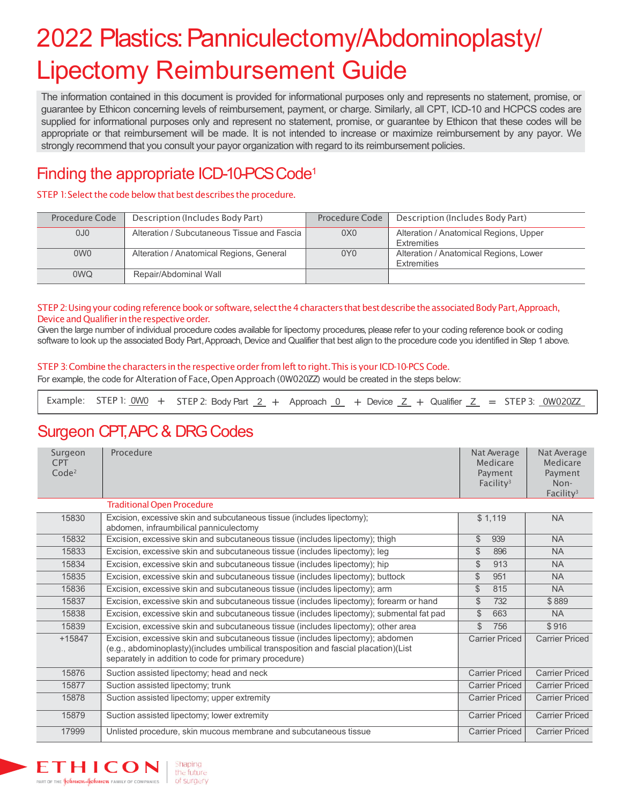# 2022 Plastics: Panniculectomy/Abdominoplasty/ Lipectomy Reimbursement Guide

The information contained in this document is provided for informational purposes only and represents no statement, promise, or guarantee by Ethicon concerning levels of reimbursement, payment, or charge. Similarly, all CPT, ICD-10 and HCPCS codes are supplied for informational purposes only and represent no statement, promise, or guarantee by Ethicon that these codes will be appropriate or that reimbursement will be made. It is not intended to increase or maximize reimbursement by any payor. We strongly recommend that you consult your payor organization with regard to its reimbursement policies.

### Finding the appropriate ICD-10-PCS Code<sup>1</sup>

### STEP 1: Select the code below that best describes the procedure.

| Procedure Code  | Description (Includes Body Part)            | Procedure Code  | Description (Includes Body Part)                             |
|-----------------|---------------------------------------------|-----------------|--------------------------------------------------------------|
| OJ <sub>0</sub> | Alteration / Subcutaneous Tissue and Fascia | 0X0             | Alteration / Anatomical Regions, Upper<br>Extremities        |
| 0W0             | Alteration / Anatomical Regions, General    | 0Y <sub>0</sub> | Alteration / Anatomical Regions, Lower<br><b>Extremities</b> |
| 0WQ             | Repair/Abdominal Wall                       |                 |                                                              |

#### STEP 2: Using your coding reference book or software, select the 4 characters that best describe the associated Body Part, Approach, Device and Qualifier in the respective order.

Given the large number of individual procedure codes available for lipectomy procedures, please refer to your coding reference book or coding software to look up the associated Body Part, Approach, Device and Qualifier that best align to the procedure code you identified in Step 1 above.

#### STEP 3: Combine the characters in the respective order from left to right. This is your ICD-10-PCS Code.

For example, the code for Alteration of Face, Open Approach (0W020ZZ) would be created in the steps below:

|  |  |  | Example: STEP 1: $0W0 +$ STEP 2: Body Part $2 +$ Approach $0 +$ Device $Z +$ Qualifier $Z =$ STEP 3: $0W020ZZ$ |  |  |  |  |  |  |  |  |  |  |  |  |
|--|--|--|----------------------------------------------------------------------------------------------------------------|--|--|--|--|--|--|--|--|--|--|--|--|
|--|--|--|----------------------------------------------------------------------------------------------------------------|--|--|--|--|--|--|--|--|--|--|--|--|

### Surgeon CPT, APC & DRG Codes

Shaping

the future

of surgery

ETHICON

PART OF THE **Goinson-Goinson** Family of companies

| Surgeon<br><b>CPT</b><br>Code <sup>2</sup> | Procedure                                                                                                                                                                                                                      | Nat Average<br>Medicare<br>Payment<br>Facility <sup>3</sup> | Nat Average<br>Medicare<br>Payment<br>Non-<br>Facility <sup>3</sup> |
|--------------------------------------------|--------------------------------------------------------------------------------------------------------------------------------------------------------------------------------------------------------------------------------|-------------------------------------------------------------|---------------------------------------------------------------------|
|                                            | <b>Traditional Open Procedure</b>                                                                                                                                                                                              |                                                             |                                                                     |
| 15830                                      | Excision, excessive skin and subcutaneous tissue (includes lipectomy);<br>abdomen, infraumbilical panniculectomy                                                                                                               | \$1,119                                                     | <b>NA</b>                                                           |
| 15832                                      | Excision, excessive skin and subcutaneous tissue (includes lipectomy); thigh                                                                                                                                                   | \$<br>939                                                   | <b>NA</b>                                                           |
| 15833                                      | Excision, excessive skin and subcutaneous tissue (includes lipectomy); leg                                                                                                                                                     | $\mathcal{L}$<br>896                                        | <b>NA</b>                                                           |
| 15834                                      | Excision, excessive skin and subcutaneous tissue (includes lipectomy); hip                                                                                                                                                     | \$<br>913                                                   | <b>NA</b>                                                           |
| 15835                                      | Excision, excessive skin and subcutaneous tissue (includes lipectomy); buttock                                                                                                                                                 | $\mathcal{L}$<br>951                                        | <b>NA</b>                                                           |
| 15836                                      | Excision, excessive skin and subcutaneous tissue (includes lipectomy); arm                                                                                                                                                     | $\mathcal{L}$<br>815                                        | <b>NA</b>                                                           |
| 15837                                      | Excision, excessive skin and subcutaneous tissue (includes lipectomy); forearm or hand                                                                                                                                         | \$<br>732                                                   | \$889                                                               |
| 15838                                      | Excision, excessive skin and subcutaneous tissue (includes lipectomy); submental fat pad                                                                                                                                       | \$<br>663                                                   | <b>NA</b>                                                           |
| 15839                                      | Excision, excessive skin and subcutaneous tissue (includes lipectomy); other area                                                                                                                                              | \$<br>756                                                   | \$916                                                               |
| $+15847$                                   | Excision, excessive skin and subcutaneous tissue (includes lipectomy); abdomen<br>(e.g., abdominoplasty)(includes umbilical transposition and fascial placation)(List<br>separately in addition to code for primary procedure) | <b>Carrier Priced</b>                                       | <b>Carrier Priced</b>                                               |
| 15876                                      | Suction assisted lipectomy; head and neck                                                                                                                                                                                      | <b>Carrier Priced</b>                                       | <b>Carrier Priced</b>                                               |
| 15877                                      | Suction assisted lipectomy; trunk                                                                                                                                                                                              | <b>Carrier Priced</b>                                       | <b>Carrier Priced</b>                                               |
| 15878                                      | Suction assisted lipectomy; upper extremity                                                                                                                                                                                    | <b>Carrier Priced</b>                                       | <b>Carrier Priced</b>                                               |
| 15879                                      | Suction assisted lipectomy; lower extremity                                                                                                                                                                                    | <b>Carrier Priced</b>                                       | <b>Carrier Priced</b>                                               |
| 17999                                      | Unlisted procedure, skin mucous membrane and subcutaneous tissue                                                                                                                                                               | <b>Carrier Priced</b>                                       | <b>Carrier Priced</b>                                               |